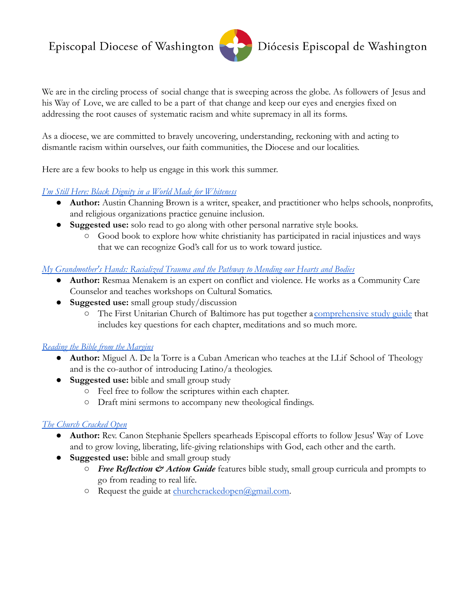# Episcopal Diocese of Washington



We are in the circling process of social change that is sweeping across the globe. As followers of Jesus and his Way of Love, we are called to be a part of that change and keep our eyes and energies fixed on addressing the root causes of systematic racism and white supremacy in all its forms.

As a diocese, we are committed to bravely uncovering, understanding, reckoning with and acting to dismantle racism within ourselves, our faith communities, the Diocese and our localities.

Here are a few books to help us engage in this work this summer.

### *[I'm Still Here: Black Dignity in a World Made for Whiteness](http://austinchanning.com/the-book)*

- **Author:** Austin Channing Brown is a writer, speaker, and practitioner who helps schools, nonprofits, and religious organizations practice genuine inclusion.
- **Suggested use:** solo read to go along with other personal narrative style books.
	- Good book to explore how white christianity has participated in racial injustices and ways that we can recognize God's call for us to work toward justice.

*[My Grandmother's Hands: Racialized Trauma and the Pathway to Mending our Hearts and Bodies](https://centralrecoverypress.com/product/my-grandmothers-hands-racialized-trauma-and-the-pathway-to-mending-our-hearts-and-bodies-paperback)*

- **Author:** Resmaa Menakem is an expert on conflict and violence. He works as a Community Care Counselor and teaches workshops on Cultural Somatics.
- **Suggested use:** small group study/discussion
	- The First Unitarian Church of Baltimore has put together a [comprehensive study guide](https://drive.google.com/file/d/1_ouIOnh4QT9My59HtnanKeyLcEkWyKox/view?usp=sharing) that includes key questions for each chapter, meditations and so much more.

#### *[Reading the Bible from the Margins](https://www.orbisbooks.com/reading-the-bible-from-the-margins.html)*

- **Author:** Miguel A. De la Torre is a Cuban American who teaches at the LLif School of Theology and is the co-author of introducing Latino/a theologies.
- **Suggested use:** bible and small group study
	- Feel free to follow the scriptures within each chapter.
	- Draft mini sermons to accompany new theological findings.

## *[The Church Cracked Open](https://churchcrackedopen.com/)*

- **Author:** Rev. Canon Stephanie Spellers spearheads Episcopal efforts to follow Jesus' Way of Love and to grow loving, liberating, life-giving relationships with God, each other and the earth.
- **Suggested use:** bible and small group study
	- *Free Reflection & Action Guide* features bible study, small group curricula and prompts to go from reading to real life.
	- Request the guide at [churchcrackedopen@gmail.com](mailto:churchcrackedopen@gmail.com).